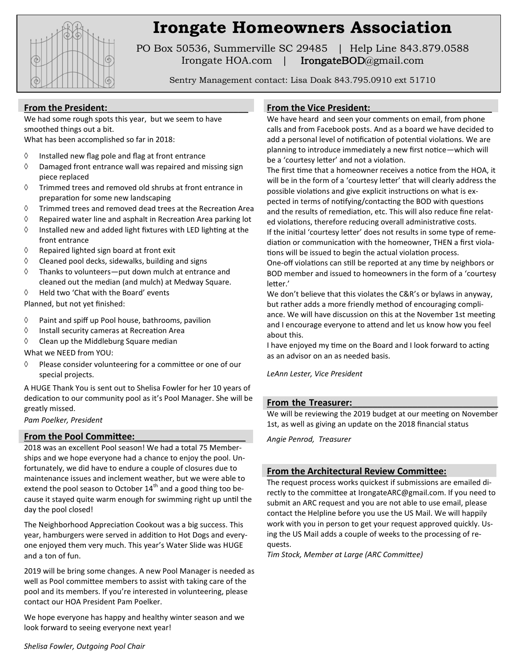

## **Irongate Homeowners Association**

PO Box 50536, Summerville SC 29485 | Help Line 843.879.0588 Irongate HOA.com | IrongateBOD@gmail.com

Sentry Management contact: Lisa Doak 843.795.0910 ext 51710

#### From the President:

We had some rough spots this year, but we seem to have smoothed things out a bit.

What has been accomplished so far in 2018:

- $\Diamond$  Installed new flag pole and flag at front entrance
- $\Diamond$  Damaged front entrance wall was repaired and missing sign piece replaced
- $\Diamond$  Trimmed trees and removed old shrubs at front entrance in preparation for some new landscaping
- $\Diamond$  Trimmed trees and removed dead trees at the Recreation Area
- $\Diamond$  Repaired water line and asphalt in Recreation Area parking lot
- $\Diamond$  Installed new and added light fixtures with LED lighting at the front entrance
- $\Diamond$  Repaired lighted sign board at front exit
- $\Diamond$  Cleaned pool decks, sidewalks, building and signs
- $\Diamond$  Thanks to volunteers—put down mulch at entrance and cleaned out the median (and mulch) at Medway Square.
- Held two 'Chat with the Board' events
- Planned, but not yet finished:
- $\Diamond$  Paint and spiff up Pool house, bathrooms, pavilion
- $\Diamond$  Install security cameras at Recreation Area
- $\Diamond$  Clean up the Middleburg Square median

What we NEED from YOU:

 $\Diamond$  Please consider volunteering for a committee or one of our special projects.

A HUGE Thank You is sent out to Shelisa Fowler for her 10 years of dedication to our community pool as it's Pool Manager. She will be greatly missed.

*Pam Poelker, President*

#### **From the Pool Committee:**\_\_\_\_\_\_\_\_\_\_\_\_\_\_\_\_\_\_\_\_\_\_

2018 was an excellent Pool season! We had a total 75 Memberships and we hope everyone had a chance to enjoy the pool. Unfortunately, we did have to endure a couple of closures due to maintenance issues and inclement weather, but we were able to extend the pool season to October  $14<sup>th</sup>$  and a good thing too because it stayed quite warm enough for swimming right up until the day the pool closed!

The Neighborhood Appreciation Cookout was a big success. This year, hamburgers were served in addition to Hot Dogs and everyone enjoyed them very much. This year's Water Slide was HUGE and a ton of fun.

2019 will be bring some changes. A new Pool Manager is needed as well as Pool committee members to assist with taking care of the pool and its members. If you're interested in volunteering, please contact our HOA President Pam Poelker.

We hope everyone has happy and healthy winter season and we look forward to seeing everyone next year!

#### From the Vice President:

We have heard and seen your comments on email, from phone calls and from Facebook posts. And as a board we have decided to add a personal level of notification of potential violations. We are planning to introduce immediately a new first notice—which will be a 'courtesy letter' and not a violation.

The first time that a homeowner receives a notice from the HOA, it will be in the form of a 'courtesy letter' that will clearly address the possible violations and give explicit instructions on what is expected in terms of notifying/contacting the BOD with questions and the results of remediation, etc. This will also reduce fine related violations, therefore reducing overall administrative costs. If the initial 'courtesy letter' does not results in some type of remediation or communication with the homeowner, THEN a first viola-

tions will be issued to begin the actual violation process. One-off violations can still be reported at any time by neighbors or

BOD member and issued to homeowners in the form of a 'courtesy letter.'

We don't believe that this violates the C&R's or bylaws in anyway, but rather adds a more friendly method of encouraging compliance. We will have discussion on this at the November 1st meeting and I encourage everyone to attend and let us know how you feel about this.

I have enjoyed my time on the Board and I look forward to acting as an advisor on an as needed basis.

*LeAnn Lester, Vice President*

#### From the Treasurer:

We will be reviewing the 2019 budget at our meeting on November 1st, as well as giving an update on the 2018 financial status

*Angie Penrod, Treasurer*

#### **From the Architectural Review Committee:**

The request process works quickest if submissions are emailed directly to the committee at IrongateARC@gmail.com. If you need to submit an ARC request and you are not able to use email, please contact the Helpline before you use the US Mail. We will happily work with you in person to get your request approved quickly. Using the US Mail adds a couple of weeks to the processing of requests.

*Tim Stock, Member at Large (ARC Committee)*